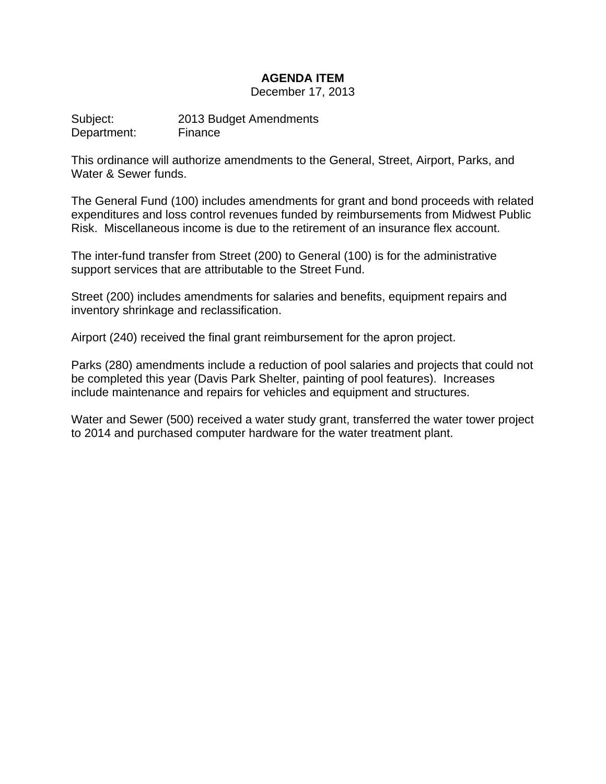# **AGENDA ITEM**

December 17, 2013

Subject: 2013 Budget Amendments Department: Finance

This ordinance will authorize amendments to the General, Street, Airport, Parks, and Water & Sewer funds.

The General Fund (100) includes amendments for grant and bond proceeds with related expenditures and loss control revenues funded by reimbursements from Midwest Public Risk. Miscellaneous income is due to the retirement of an insurance flex account.

The inter-fund transfer from Street (200) to General (100) is for the administrative support services that are attributable to the Street Fund.

Street (200) includes amendments for salaries and benefits, equipment repairs and inventory shrinkage and reclassification.

Airport (240) received the final grant reimbursement for the apron project.

Parks (280) amendments include a reduction of pool salaries and projects that could not be completed this year (Davis Park Shelter, painting of pool features). Increases include maintenance and repairs for vehicles and equipment and structures.

Water and Sewer (500) received a water study grant, transferred the water tower project to 2014 and purchased computer hardware for the water treatment plant.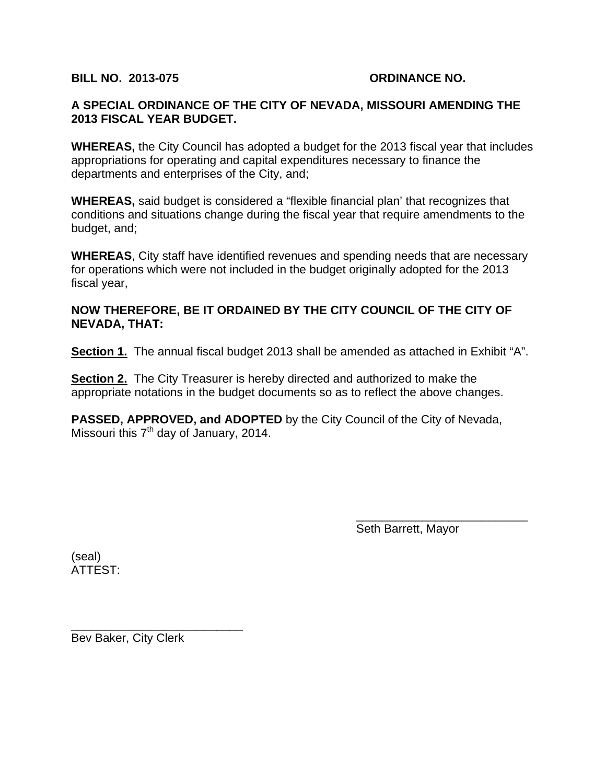### **BILL NO. 2013-075 ORDINANCE NO.**

## **A SPECIAL ORDINANCE OF THE CITY OF NEVADA, MISSOURI AMENDING THE 2013 FISCAL YEAR BUDGET.**

**WHEREAS,** the City Council has adopted a budget for the 2013 fiscal year that includes appropriations for operating and capital expenditures necessary to finance the departments and enterprises of the City, and;

**WHEREAS,** said budget is considered a "flexible financial plan' that recognizes that conditions and situations change during the fiscal year that require amendments to the budget, and;

**WHEREAS**, City staff have identified revenues and spending needs that are necessary for operations which were not included in the budget originally adopted for the 2013 fiscal year,

## **NOW THEREFORE, BE IT ORDAINED BY THE CITY COUNCIL OF THE CITY OF NEVADA, THAT:**

**Section 1.** The annual fiscal budget 2013 shall be amended as attached in Exhibit "A".

**Section 2.** The City Treasurer is hereby directed and authorized to make the appropriate notations in the budget documents so as to reflect the above changes.

**PASSED, APPROVED, and ADOPTED** by the City Council of the City of Nevada, Missouri this  $7<sup>th</sup>$  day of January, 2014.

 $\overline{\phantom{a}}$  , which is a set of the set of the set of the set of the set of the set of the set of the set of the set of the set of the set of the set of the set of the set of the set of the set of the set of the set of th

Seth Barrett, Mayor

(seal) ATTEST:

Bev Baker, City Clerk

\_\_\_\_\_\_\_\_\_\_\_\_\_\_\_\_\_\_\_\_\_\_\_\_\_\_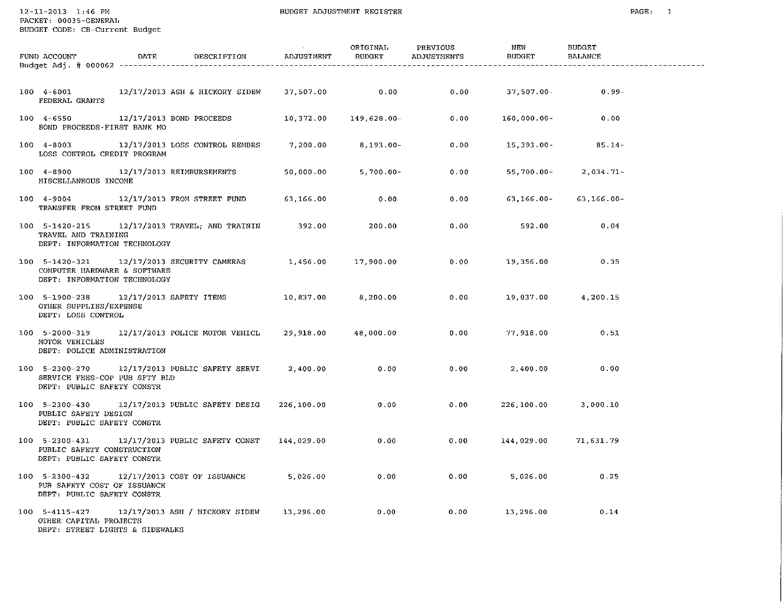$12 - 11 - 2013$   $1:46$  PM

PACKET: 00035-GENERAL BUDGET CODE: CB-Current Budget

| FUND ACCOUNT<br>Budget Adj. # 000062 -----------------                         | <b>DATE</b> | DESCRIPTION                                            | ADJUSTMENT | ORIGINAL<br>BUDGET | PREVIOUS<br>ADJUSTMENTS | NEW<br><b>BUDGET</b> | <b>BUDGET</b><br>BALANCE |  |
|--------------------------------------------------------------------------------|-------------|--------------------------------------------------------|------------|--------------------|-------------------------|----------------------|--------------------------|--|
|                                                                                |             |                                                        |            |                    |                         |                      |                          |  |
| 100 4-6001<br><b>FEDERAL GRANTS</b>                                            |             | 12/17/2013 ASH & HICKORY SIDEW                         |            | 37,507.00 0.00     | 0.00                    | $37,507.00 -$        | $0.99 -$                 |  |
| $100 \quad 4 - 6550$<br>BOND PROCEEDS-FIRST BANK MO                            |             | 12/17/2013 BOND PROCEEDS                               | 10,372.00  | 149,628.00-        | 0.00                    | 160,000.00-          | 0.00                     |  |
| $100 4 - 8003$<br>LOSS CONTROL CREDIT PROGRAM                                  |             | 12/17/2013 LOSS CONTROL REMBRS                         | 7,200.00   | 8,193.00-          | 0.00                    | 15,393.00-           | $85.14 -$                |  |
| $100 \quad 4 - 8900$<br>MISCELLANEOUS INCOME                                   |             | 12/17/2013 REIMBURSEMENTS                              | 50,000.00  | $5,700.00 -$       | 0.00                    | 55,700.00-           | $2,034.71-$              |  |
| $100 \quad 4 - 9004$<br>TRANSFER FROM STREET FUND                              |             | 12/17/2013 FROM STREET FUND                            | 63,166.00  | 0.00               | 0.00                    | 63,166.00-           | $63,166.00 -$            |  |
| 100 5-1420-215<br>TRAVEL AND TRAINING<br>DEPT: INFORMATION TECHNOLOGY          |             |                                                        |            | 200.00             | 0.00                    | 592.00               | 0.04                     |  |
| 100 5-1420-321<br>COMPUTER HARDWARE & SOFTWARE<br>DEPT: INFORMATION TECHNOLOGY |             | 12/17/2013 SECURITY CAMERAS 1,456.00                   |            | 17,900.00          | 0.00                    | 19,356.00            | 0.35                     |  |
| $100$ 5-1900-238<br>OTHER SUPPLIES/EXPENSE<br>DEPT: LOSS CONTROL               |             | 12/17/2013 SAFETY ITEMS                                | 10,837.00  | 8,200.00           | 0.00                    | 19,037.00            | 4,200.15                 |  |
| 100 5-2000-319<br>MOTOR VEHICLES<br>DEPT: POLICE ADMINISTRATION                |             | 12/17/2013 POLICE MOTOR VEHICL 29,918.00               |            | 48,000.00          | 0.00                    | 77,918.00            | 0.51                     |  |
| SERVICE FEES-COP PUB SFTY BLD<br>DEPT: PUBLIC SAFETY CONSTR                    |             | 100 5-2300-270 12/17/2013 PUBLIC SAFETY SERVI 2,400.00 |            | 0.00               | 0.00                    | 2,400.00             | 0.00                     |  |
| $100$ 5-2300-430<br>PUBLIC SAFETY DESIGN<br>DEPT: PUBLIC SAFETY CONSTR         |             | 12/17/2013 PUBLIC SAFETY DESIG                         | 226,100.00 | 0.00               | 0.00                    | 226,100.00           | 3,000.10                 |  |
| PUBLIC SAFETY CONSTRUCTION<br>DEPT: PUBLIC SAFETY CONSTR                       |             | 100 5-2300-431 12/17/2013 PUBLIC SAFETY CONST          | 144,029.00 | 0.00               | 0.00                    | 144,029.00           | 71,631.79                |  |
| PUB SAFETY COST OF ISSUANCE<br>DEPT: PUBLIC SAFETY CONSTR                      |             | 100 5-2300-432 12/17/2013 COST OF ISSUANCE             | 5,026.00   | 0.00               | 0.00                    | 5,026.00             | 0.25                     |  |
| $100$ 5-4115-427<br>OTHER CAPITAL PROJECTS<br>DEPT: STREET LIGHTS & SIDEWALKS  |             | 12/17/2013 ASH / HICKORY SIDEW 13,296.00               |            | 0.00               | 0.00                    | 13,296.00            | 0.14                     |  |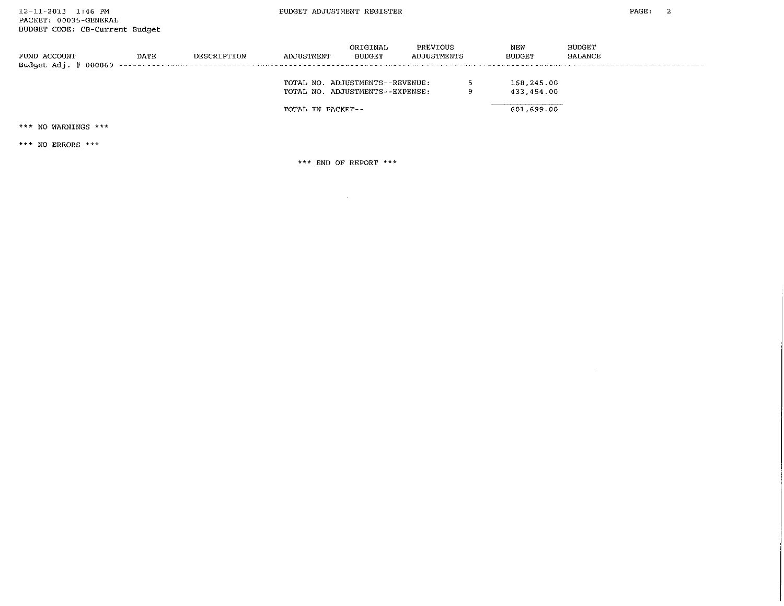| FUND ACCOUNT | DATE | DESCRIPTION | ADJUSTMENT                                                                              | ORIGINAL<br><b>BUDGET</b> | PREVIOUS<br>ADJUSTMENTS |   | NEW<br><b>BUDGET</b>                   | <b>BUDGET</b><br><b>BALANCE</b> |
|--------------|------|-------------|-----------------------------------------------------------------------------------------|---------------------------|-------------------------|---|----------------------------------------|---------------------------------|
|              |      |             | TOTAL NO. ADJUSTMENTS--REVENUE:<br>TOTAL NO. ADJUSTMENTS--EXPENSE:<br>TOTAL IN PACKET-- |                           |                         | ۰ | 168,245.00<br>433,454.00<br>601,699.00 |                                 |

\*\*\* NO WARNINGS \*\*\*

\*\*\* NO ERRORS \*\*\*

\*\*\* END OF REPORT \*\*\*

 $\sim 10^{-11}$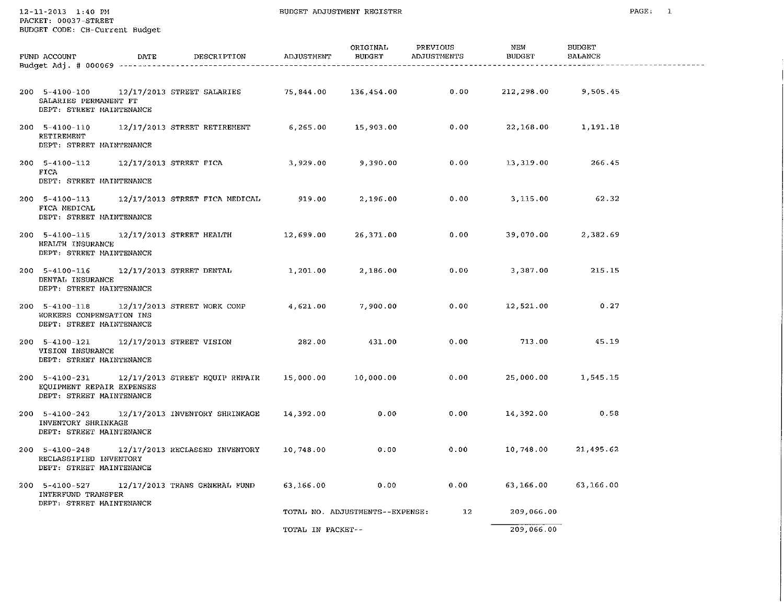$12 - 11 - 2013$   $1:40$  PM  $\frac{1}{2}$ 

|  | PACKET: 00037-STREET           |  |
|--|--------------------------------|--|
|  | BUDGET CODE: CB-Current Budget |  |

| FUND ACCOUNT<br>Budget Adj. # 000069 -------                             | DATE | DESCRIPTION                                   | ADJUSTMENT        | ORIGINAL<br>BUDGET              | PREVIOUS<br>ADJUSTMENTS | NEW<br><b>BUDGET</b> | <b>BUDGET</b><br><b>BALANCE</b> |  |
|--------------------------------------------------------------------------|------|-----------------------------------------------|-------------------|---------------------------------|-------------------------|----------------------|---------------------------------|--|
|                                                                          |      |                                               |                   |                                 |                         |                      |                                 |  |
| 200 5-4100-100<br>SALARIES PERMANENT FT<br>DEPT: STREET MAINTENANCE      |      | 12/17/2013 STREET SALARIES                    | 75,844.00         | 136,454.00                      | 0.00                    | 212,298.00           | 9,505.45                        |  |
| $200$ 5-4100-110<br>RETIREMENT<br>DEPT: STREET MAINTENANCE               |      | 12/17/2013 STREET RETIREMENT                  | 6,265.00          | 15,903.00                       | 0.00                    | 22,168.00            | 1,191.18                        |  |
| $200$ 5-4100-112<br>FICA<br>DEPT: STREET MAINTENANCE                     |      | 12/17/2013 STREET FICA                        | 3,929.00          | 9,390.00                        | 0.00                    | 13,319.00            | 266.45                          |  |
| $200$ 5-4100-113<br>FICA MEDICAL<br>DEPT: STREET MAINTENANCE             |      | 12/17/2013 STREET FICA MEDICAL                | 919.00            | 2,196.00                        | 0.00                    | 3,115.00             | 62.32                           |  |
| 200 5-4100-115<br>HEALTH INSURANCE<br>DEPT: STREET MAINTENANCE           |      | 12/17/2013 STREET HEALTH                      | 12,699.00         | 26,371.00                       | 0.00                    | 39,070.00            | 2,382.69                        |  |
| 200 5-4100-116<br>DENTAL INSURANCE<br>DEPT: STREET MAINTENANCE           |      | 12/17/2013 STREET DENTAL                      | 1,201.00          | 2,186.00                        | 0.00                    | 3,387.00             | 215.15                          |  |
| $200$ 5-4100-118<br>WORKERS COMPENSATION INS<br>DEPT: STREET MAINTENANCE |      | 12/17/2013 STREET WORK COMP                   | 4,621.00          | 7,900.00                        | 0.00                    | 12,521.00            | 0.27                            |  |
| $200$ 5-4100-121<br>VISION INSURANCE<br>DEPT: STREET MAINTENANCE         |      | 12/17/2013 STREET VISION                      | 282.00            | 431.00                          | 0.00                    | 713.00               | 45.19                           |  |
| 200 5-4100-231<br>EQUIPMENT REPAIR EXPENSES<br>DEPT: STREET MAINTENANCE  |      | 12/17/2013 STREET EQUIP REPAIR                | 15,000.00         | 10,000.00                       | 0.00                    | 25,000.00            | 1,545.15                        |  |
| 200 5-4100-242<br>INVENTORY SHRINKAGE<br>DEPT: STREET MAINTENANCE        |      | 12/17/2013 INVENTORY SHRINKAGE                | 14,392.00         | 0.00                            | 0.00                    | 14,392.00            | 0.58                            |  |
| RECLASSIFIED INVENTORY<br>DEPT: STREET MAINTENANCE                       |      | 200 5-4100-248 12/17/2013 RECLASSED INVENTORY | 10,748.00         | 0.00                            | 0.00                    | 10,748.00            | 21,495.62                       |  |
| 200 5-4100-527<br>INTERFUND TRANSFER<br>DEPT: STREET MAINTENANCE         |      | 12/17/2013 TRANS GENERAL FUND                 | 63,166.00         | 0.00                            | 0.00                    | 63,166.00            | 63,166.00                       |  |
|                                                                          |      |                                               |                   | TOTAL NO. ADJUSTMENTS--EXPENSE: | 12                      | 209,066.00           |                                 |  |
|                                                                          |      |                                               | TOTAL IN PACKET-- |                                 |                         | 209,066.00           |                                 |  |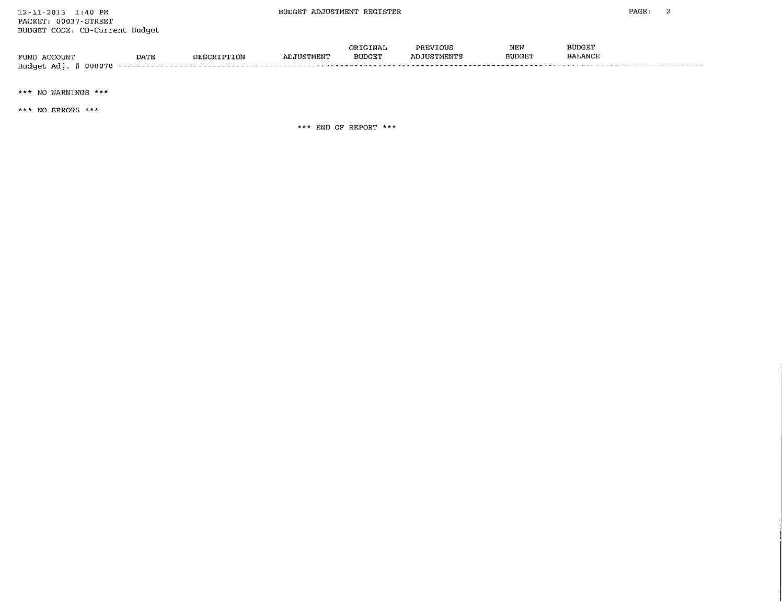|                             |             |  | TNAL          | PR RJ     | NEW           | BUDGE'I        |
|-----------------------------|-------------|--|---------------|-----------|---------------|----------------|
| FUND<br><b>ACCOUNT</b>      | <b>DATE</b> |  | <b>BUDGET</b> | TUSTMENTS | <b>BUDGET</b> | <b>BALANCY</b> |
| Budget<br>- Ada<br>. 000 70 |             |  |               |           |               |                |

\*\*\* NO WARNINGS \*\*\*

\*\*\* NO ERRORS \*\*\*

\*\*\* END OF REPORT \*\*\*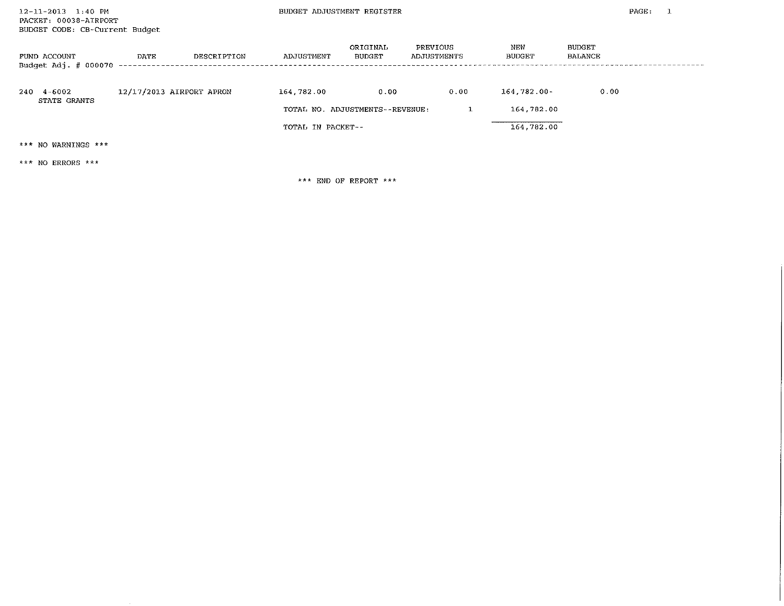BUDGET ADJUSTMENT REGISTER

| FUND ACCOUNT<br>Budget Adj. # 000070 | DATE                     | DESCRIPTION | ADJUSTMENT | ORIGINAL<br><b>BUDGET</b>       | PREVIOUS<br>ADJUSTMENTS | NEW<br><b>BUDGET</b> | <b>BUDGET</b><br>BALANCE |  |
|--------------------------------------|--------------------------|-------------|------------|---------------------------------|-------------------------|----------------------|--------------------------|--|
| 4-6002<br>240<br><b>STATE GRANTS</b> | 12/17/2013 AIRPORT APRON |             | 164,782.00 | 0.00                            | 0.00                    | 164,782.00-          | 0.00                     |  |
|                                      |                          |             |            | TOTAL NO. ADJUSTMENTS--REVENUE: |                         | 164,782.00           |                          |  |
|                                      | TOTAL IN PACKET--        |             |            |                                 | 164,782.00              |                      |                          |  |
| *** NO WARNINGS ***                  |                          |             |            |                                 |                         |                      |                          |  |

\*\*\* NO ERRORS \*\*\*

\*\*\* END OF REPORT \*\*\*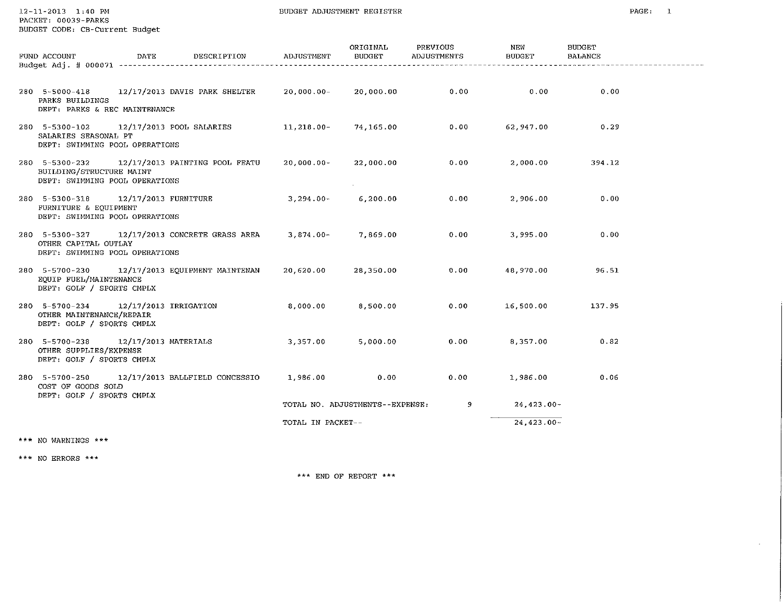$12 - 11 - 2013$   $1:40$  PM PACKET: 00039-PARKS

 $\star$ 

| FUND ACCOUNT                                                                                      | DATE DESCRIPTION ADJUSTMENT                             |                   | ORIGINAL<br><b>BUDGET</b>       | PREVIOUS<br>ADJUSTMENTS | NEW<br><b>BUDGET</b> | <b>BUDGET</b><br><b>BALANCE</b> |  |
|---------------------------------------------------------------------------------------------------|---------------------------------------------------------|-------------------|---------------------------------|-------------------------|----------------------|---------------------------------|--|
|                                                                                                   |                                                         |                   |                                 |                         |                      |                                 |  |
| PARKS BUILDINGS<br>DEPT: PARKS & REC MAINTENANCE                                                  | 280 5-5000-418 12/17/2013 DAVIS PARK SHELTER 20,000.00- |                   | 20,000.00                       | 0.00                    | 0.00                 | 0.00                            |  |
| 280 5-5300-102 12/17/2013 POOL SALARIES<br>SALARIES SEASONAL PT<br>DEPT: SWIMMING POOL OPERATIONS |                                                         | $11,218.00-$      | 74,165.00                       | 0.00                    | 62,947.00            | 0.29                            |  |
| BUILDING/STRUCTURE MAINT<br>DEPT: SWIMMING POOL OPERATIONS                                        | 280 5-5300-232 12/17/2013 PAINTING POOL FEATU           | $20,000.00$ -     | 22,000.00                       | 0.00                    | 2,000.00             | 394.12                          |  |
| 280 5-5300-318 12/17/2013 FURNITURE<br>FURNITURE & EQUIPMENT<br>DEPT: SWIMMING POOL OPERATIONS    |                                                         | $3,294.00-$       | 6,200.00                        | 0.00                    | 2,906.00             | 0.00                            |  |
| OTHER CAPITAL OUTLAY<br>DEPT: SWIMMING POOL OPERATIONS                                            | 280 5-5300-327 12/17/2013 CONCRETE GRASS AREA 3,874.00- |                   | 7,869.00                        | 0.00                    | 3,995.00             | 0.00                            |  |
| EQUIP FUEL/MAINTENANCE<br>DEPT: GOLF / SPORTS CMPLX                                               | 280 5-5700-230 12/17/2013 EQUIPMENT MAINTENAN           | 20,620.00         | 28,350.00                       | 0.00                    | 48,970.00            | 96.51                           |  |
| 280 5-5700-234 12/17/2013 IRRIGATION<br>OTHER MAINTENANCE/REPAIR<br>DEPT: GOLF / SPORTS CMPLX     |                                                         | 8,000.00          | 8,500.00                        | 0.00                    | 16,500.00            | 137.95                          |  |
| 280 5-5700-238 12/17/2013 MATERIALS<br>OTHER SUPPLIES/EXPENSE<br>DEPT: GOLF / SPORTS CMPLX        |                                                         | 3,357.00          | 5,000.00                        | 0.00                    | 8,357.00             | 0.82                            |  |
| COST OF GOODS SOLD<br>DEPT: GOLF / SPORTS CMPLX                                                   | 280 5-5700-250 12/17/2013 BALLFIELD CONCESSIO           | 1,986.00          | 0.00                            | 0.00                    | 1,986.00             | 0.06                            |  |
|                                                                                                   |                                                         |                   | TOTAL NO. ADJUSTMENTS--EXPENSE: | -9                      | $24,423.00 -$        |                                 |  |
|                                                                                                   |                                                         | TOTAL IN PACKET-- |                                 |                         | $24.423.00 -$        |                                 |  |
|                                                                                                   |                                                         |                   |                                 |                         |                      |                                 |  |

\*\*\* NO WARNINGS \*\*\*

 $\star\star\star$  NO ERRORS  $\star\star\star$ 

 $\star\star\star$  END OF REPORT  $\star\star\star$